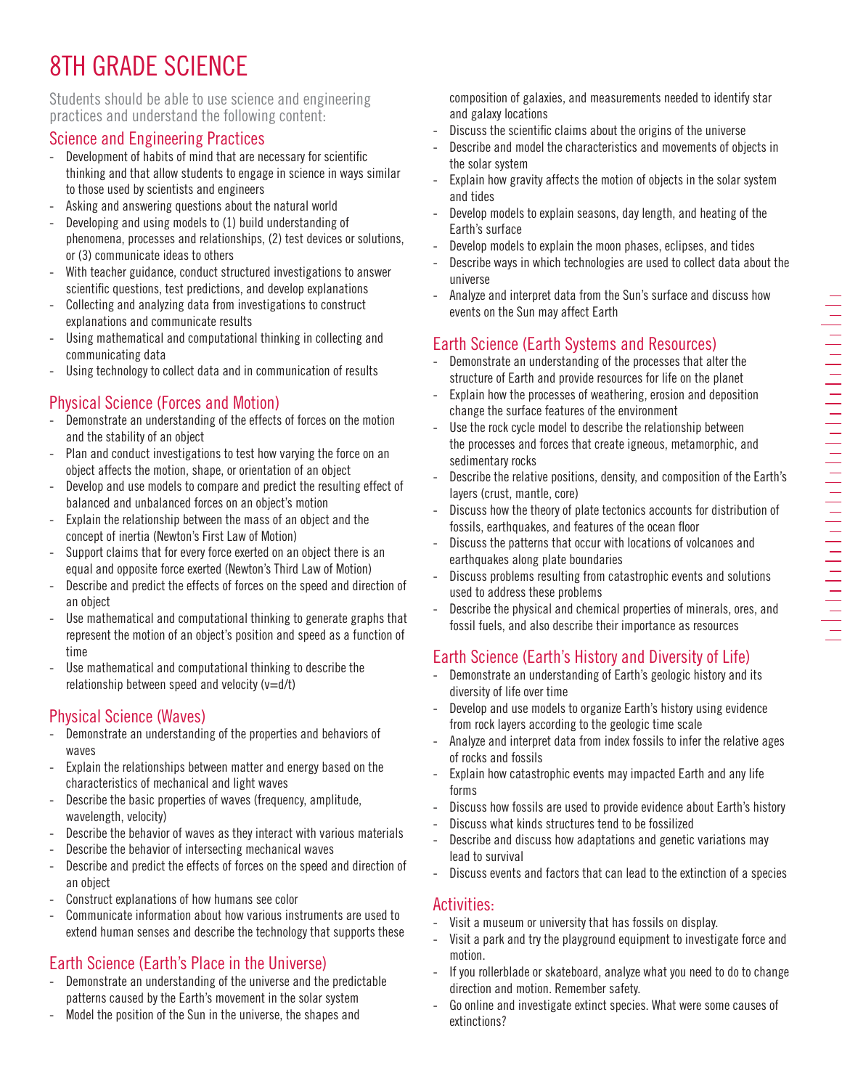# 8TH GRADE SCIENCE

#### Students should be able to use science and engineering practices and understand the following content:

### Science and Engineering Practices

- Development of habits of mind that are necessary for scientific thinking and that allow students to engage in science in ways similar to those used by scientists and engineers
- Asking and answering questions about the natural world
- Developing and using models to (1) build understanding of phenomena, processes and relationships, (2) test devices or solutions, or (3) communicate ideas to others
- With teacher guidance, conduct structured investigations to answer scientific questions, test predictions, and develop explanations
- Collecting and analyzing data from investigations to construct explanations and communicate results
- Using mathematical and computational thinking in collecting and communicating data
- Using technology to collect data and in communication of results

## Physical Science (Forces and Motion)

- Demonstrate an understanding of the effects of forces on the motion and the stability of an object
- Plan and conduct investigations to test how varying the force on an object affects the motion, shape, or orientation of an object
- Develop and use models to compare and predict the resulting effect of balanced and unbalanced forces on an object's motion
- Explain the relationship between the mass of an object and the concept of inertia (Newton's First Law of Motion)
- Support claims that for every force exerted on an object there is an equal and opposite force exerted (Newton's Third Law of Motion)
- Describe and predict the effects of forces on the speed and direction of an object
- Use mathematical and computational thinking to generate graphs that represent the motion of an object's position and speed as a function of time
- Use mathematical and computational thinking to describe the relationship between speed and velocity  $(v=d/t)$

## Physical Science (Waves)

- Demonstrate an understanding of the properties and behaviors of waves
- Explain the relationships between matter and energy based on the characteristics of mechanical and light waves
- Describe the basic properties of waves (frequency, amplitude, wavelength, velocity)
- Describe the behavior of waves as they interact with various materials
- Describe the behavior of intersecting mechanical waves
- Describe and predict the effects of forces on the speed and direction of an object
- Construct explanations of how humans see color
- Communicate information about how various instruments are used to extend human senses and describe the technology that supports these

## Earth Science (Earth's Place in the Universe)

- Demonstrate an understanding of the universe and the predictable patterns caused by the Earth's movement in the solar system
- Model the position of the Sun in the universe, the shapes and

composition of galaxies, and measurements needed to identify star and galaxy locations

- Discuss the scientific claims about the origins of the universe
- Describe and model the characteristics and movements of objects in the solar system
- Explain how gravity affects the motion of objects in the solar system and tides
- Develop models to explain seasons, day length, and heating of the Earth's surface
- Develop models to explain the moon phases, eclipses, and tides
- Describe ways in which technologies are used to collect data about the universe
- Analyze and interpret data from the Sun's surface and discuss how events on the Sun may affect Earth

# Earth Science (Earth Systems and Resources)

- Demonstrate an understanding of the processes that alter the structure of Earth and provide resources for life on the planet
- Explain how the processes of weathering, erosion and deposition change the surface features of the environment
- Use the rock cycle model to describe the relationship between the processes and forces that create igneous, metamorphic, and sedimentary rocks
- Describe the relative positions, density, and composition of the Earth's layers (crust, mantle, core)
- Discuss how the theory of plate tectonics accounts for distribution of fossils, earthquakes, and features of the ocean floor
- Discuss the patterns that occur with locations of volcanoes and earthquakes along plate boundaries
- Discuss problems resulting from catastrophic events and solutions used to address these problems
- Describe the physical and chemical properties of minerals, ores, and fossil fuels, and also describe their importance as resources

# Earth Science (Earth's History and Diversity of Life)

- Demonstrate an understanding of Earth's geologic history and its diversity of life over time
- Develop and use models to organize Earth's history using evidence from rock layers according to the geologic time scale
- Analyze and interpret data from index fossils to infer the relative ages of rocks and fossils
- Explain how catastrophic events may impacted Earth and any life forms
- Discuss how fossils are used to provide evidence about Earth's history
- Discuss what kinds structures tend to be fossilized
- Describe and discuss how adaptations and genetic variations may lead to survival
- Discuss events and factors that can lead to the extinction of a species

### Activities:

- Visit a museum or university that has fossils on display.
- Visit a park and try the playground equipment to investigate force and motion.
- If you rollerblade or skateboard, analyze what you need to do to change direction and motion. Remember safety.
- Go online and investigate extinct species. What were some causes of extinctions?